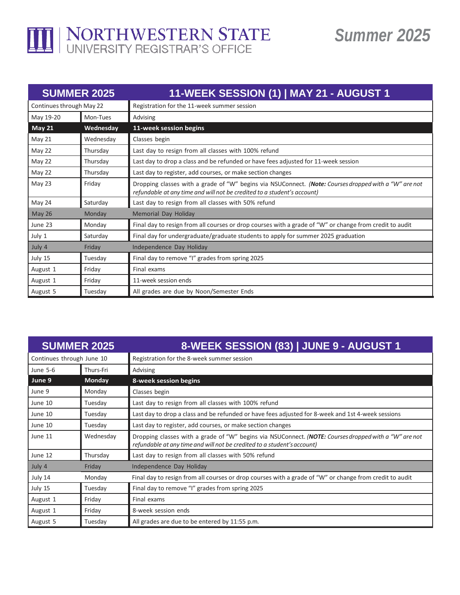

## *Summer 2025*

| <b>SUMMER 2025</b>       |           | 11-WEEK SESSION (1)   MAY 21 - AUGUST 1                                                                                                                                          |
|--------------------------|-----------|----------------------------------------------------------------------------------------------------------------------------------------------------------------------------------|
| Continues through May 22 |           | Registration for the 11-week summer session                                                                                                                                      |
| May 19-20                | Mon-Tues  | Advising                                                                                                                                                                         |
| <b>May 21</b>            | Wednesday | 11-week session begins                                                                                                                                                           |
| <b>May 21</b>            | Wednesday | Classes begin                                                                                                                                                                    |
| May 22                   | Thursday  | Last day to resign from all classes with 100% refund                                                                                                                             |
| May 22                   | Thursday  | Last day to drop a class and be refunded or have fees adjusted for 11-week session                                                                                               |
| May 22                   | Thursday  | Last day to register, add courses, or make section changes                                                                                                                       |
| May 23                   | Friday    | Dropping classes with a grade of "W" begins via NSUConnect. (Note: Courses dropped with a "W" are not<br>refundable at any time and will not be credited to a student's account) |
| May 24                   | Saturday  | Last day to resign from all classes with 50% refund                                                                                                                              |
| <b>May 26</b>            | Monday    | Memorial Day Holiday                                                                                                                                                             |
| June 23                  | Monday    | Final day to resign from all courses or drop courses with a grade of "W" or change from credit to audit                                                                          |
| July 1                   | Saturday  | Final day for undergraduate/graduate students to apply for summer 2025 graduation                                                                                                |
| July 4                   | Friday    | Independence Day Holiday                                                                                                                                                         |
| July 15                  | Tuesday   | Final day to remove "I" grades from spring 2025                                                                                                                                  |
| August 1                 | Friday    | Final exams                                                                                                                                                                      |
| August 1                 | Friday    | 11-week session ends                                                                                                                                                             |
| August 5                 | Tuesday   | All grades are due by Noon/Semester Ends                                                                                                                                         |

| <b>SUMMER 2025</b>        |               | 8-WEEK SESSION (83)   JUNE 9 - AUGUST 1                                                                                                                                          |
|---------------------------|---------------|----------------------------------------------------------------------------------------------------------------------------------------------------------------------------------|
| Continues through June 10 |               | Registration for the 8-week summer session                                                                                                                                       |
| June 5-6                  | Thurs-Fri     | Advising                                                                                                                                                                         |
| June 9                    | <b>Monday</b> | 8-week session begins                                                                                                                                                            |
| June 9                    | Monday        | Classes begin                                                                                                                                                                    |
| June 10                   | Tuesday       | Last day to resign from all classes with 100% refund                                                                                                                             |
| June 10                   | Tuesday       | Last day to drop a class and be refunded or have fees adjusted for 8-week and 1st 4-week sessions                                                                                |
| June 10                   | Tuesday       | Last day to register, add courses, or make section changes                                                                                                                       |
| June 11                   | Wednesday     | Dropping classes with a grade of "W" begins via NSUConnect. (NOTE: Courses dropped with a "W" are not<br>refundable at any time and will not be credited to a student's account) |
| June 12                   | Thursday      | Last day to resign from all classes with 50% refund                                                                                                                              |
| July 4                    | Friday        | Independence Day Holiday                                                                                                                                                         |
| July 14                   | Monday        | Final day to resign from all courses or drop courses with a grade of "W" or change from credit to audit                                                                          |
| July 15                   | Tuesday       | Final day to remove "I" grades from spring 2025                                                                                                                                  |
| August 1                  | Friday        | Final exams                                                                                                                                                                      |
| August 1                  | Friday        | 8-week session ends                                                                                                                                                              |
| August 5                  | Tuesday       | All grades are due to be entered by 11:55 p.m.                                                                                                                                   |